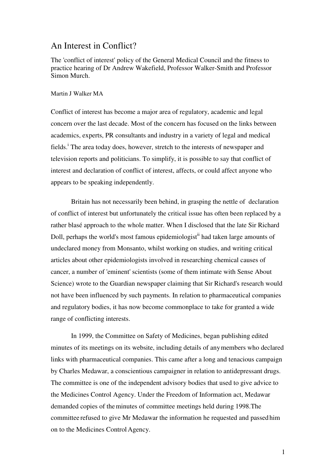# An Interest in Conflict?

The 'conflict of interest' policy of the General Medical Council and the fitness to practice hearing of Dr Andrew Wakefield, Professor Walker-Smith and Professor Simon Murch.

#### Martin J Walker MA

Conflict of interest has become a major area of regulatory, academic and legal concern over the last decade. Most of the concern has focused on the links between academics, experts, PR consultants and industry in a variety of legal and medical fields.<sup>i</sup> The area today does, however, stretch to the interests of newspaper and television reports and politicians. To simplify, it is possible to say that conflict of interest and declaration of conflict of interest, affects, or could affect anyone who appears to be speaking independently.

 Britain has not necessarily been behind, in grasping the nettle of declaration of conflict of interest but unfortunately the critical issue has often been replaced by a rather blasé approach to the whole matter. When I disclosed that the late Sir Richard Doll, perhaps the world's most famous epidemiologist<sup>ii</sup> had taken large amounts of undeclared money from Monsanto, whilst working on studies, and writing critical articles about other epidemiologists involved in researching chemical causes of cancer, a number of 'eminent' scientists (some of them intimate with Sense About Science) wrote to the Guardian newspaper claiming that Sir Richard's research would not have been influenced by such payments. In relation to pharmaceutical companies and regulatory bodies, it has now become commonplace to take for granted a wide range of conflicting interests.

 In 1999, the Committee on Safety of Medicines, began publishing edited minutes of its meetings on its website, including details of anymembers who declared links with pharmaceutical companies. This came after a long and tenacious campaign by Charles Medawar, a conscientious campaigner in relation to antidepressant drugs. The committee is one of the independent advisory bodies that used to give advice to the Medicines Control Agency. Under the Freedom of Information act, Medawar demanded copies of theminutes of committee meetings held during 1998.The committee refused to give Mr Medawar the information he requested and passed him on to the Medicines Control Agency.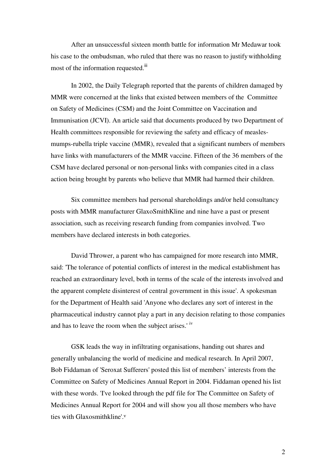After an unsuccessful sixteen month battle for information Mr Medawar took his case to the ombudsman, who ruled that there was no reason to justifywithholding most of the information requested.<sup>iii</sup>

 In 2002, the Daily Telegraph reported that the parents of children damaged by MMR were concerned at the links that existed between members of the Committee on Safety of Medicines (CSM) and the Joint Committee on Vaccination and Immunisation (JCVI). An article said that documents produced by two Department of Health committees responsible for reviewing the safety and efficacy of measlesmumps-rubella triple vaccine (MMR), revealed that a significant numbers of members have links with manufacturers of the MMR vaccine. Fifteen of the 36 members of the CSM have declared personal or non-personal links with companies cited in a class action being brought by parents who believe that MMR had harmed their children.

 Six committee members had personal shareholdings and/or held consultancy posts with MMR manufacturer GlaxoSmithKline and nine have a past or present association, such as receiving research funding from companies involved. Two members have declared interests in both categories.

 David Thrower, a parent who has campaigned for more research into MMR, said: 'The tolerance of potential conflicts of interest in the medical establishment has reached an extraordinary level, both in terms of the scale of the interests involved and the apparent complete disinterest of central government in this issue'. A spokesman for the Department of Health said 'Anyone who declares any sort of interest in the pharmaceutical industry cannot play a part in any decision relating to those companies and has to leave the room when the subject arises.' iv

 GSK leads the way in infiltrating organisations, handing out shares and generally unbalancing the world of medicine and medical research. In April 2007, Bob Fiddaman of 'Seroxat Sufferers' posted this list of members' interests from the Committee on Safety of Medicines Annual Report in 2004. Fiddaman opened his list with these words. 'I've looked through the pdf file for The Committee on Safety of Medicines Annual Report for 2004 and will show you all those members who have ties with Glaxosmithkline'.<sup>v</sup>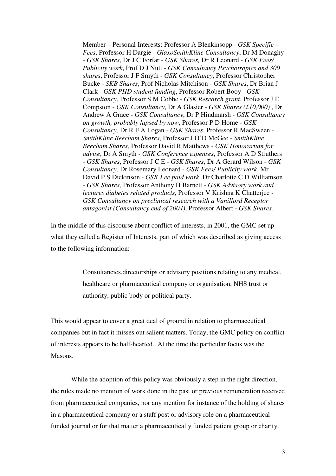Member – Personal Interests: Professor A Blenkinsopp - *GSK Specific – Fees*, Professor H Dargie - *GlaxoSmithKline Consultancy*, Dr M Donaghy - *GSK Shares*, Dr J C Forfar - *GSK Shares,* Dr R Leonard - *GSK Fees/ Publicity work*, Prof D J Nutt - *GSK Consultancy Psychotropics and 300 shares*, Professor J F Smyth - *GSK Consultancy*, Professor Christopher Bucke - *SKB Shares*, Prof Nicholas Mitchison - *GSK Shares*, Dr Brian J Clark - *GSK PHD student funding*, Professor Robert Booy - *GSK Consultancy*, Professor S M Cobbe - *GSK Research grant*, Professor J E Compston - *GSK Consultancy*, Dr A Glasier - *GSK Shares (£10,000)* , Dr Andrew A Grace - *GSK Consultancy*, Dr P Hindmarsh - *GSK Consultancy on growth, probably lapsed by now*, Professor P D Home - *GSK Consultancy*, Dr R F A Logan *- GSK Shares*, Professor R MacSween - *SmithKline Beecham Shares*, Professor J O'D McGee - *SmithKline Beecham Shares*, Professor David R Matthews - *GSK Honorarium for advise*, Dr A Smyth *- GSK Conference expenses*, Professor A D Struthers - *GSK Shares*, Professor J C E - *GSK Shares*, Dr A Gerard Wilson - *GSK Consultancy*, Dr Rosemary Leonard - *GSK Fees/ Publicity work*, Mr David P S Dickinson - *GSK Fee paid work*, Dr Charlotte C D Williamson - *GSK Shares*, Professor Anthony H Barnett - *GSK Advisory work and lectures diabetes related products*, Professor V Krishna K Chatterjee - *GSK Consultancy on preclinical research with a Vanillord Receptor antagonist (Consultancy end of 2004)*, Professor Albert - *GSK Shares.*

In the middle of this discourse about conflict of interests, in 2001, the GMC set up what they called a Register of Interests, part of which was described as giving access to the following information:

> Consultancies,directorships or advisory positions relating to any medical, healthcare or pharmaceutical company or organisation, NHS trust or authority, public body or political party.

This would appear to cover a great deal of ground in relation to pharmaceutical companies but in fact it misses out salient matters. Today, the GMC policy on conflict of interests appears to be half-hearted. At the time the particular focus was the Masons.

While the adoption of this policy was obviously a step in the right direction, the rules made no mention of work done in the past or previous remuneration received from pharmaceutical companies, nor any mention for instance of the holding of shares in a pharmaceutical company or a staff post or advisory role on a pharmaceutical funded journal or for that matter a pharmaceutically funded patient group or charity.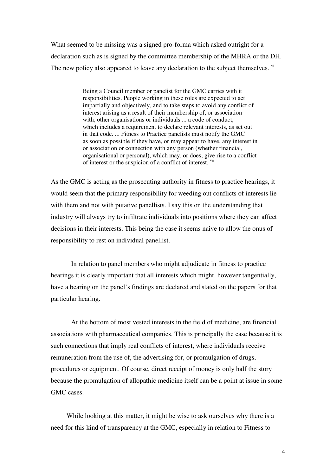What seemed to be missing was a signed pro-forma which asked outright for a declaration such as is signed by the committee membership of the MHRA or the DH. The new policy also appeared to leave any declaration to the subject themselves. <sup>vi</sup>

> Being a Council member or panelist for the GMC carries with it responsibilities. People working in these roles are expected to act impartially and objectively, and to take steps to avoid any conflict of interest arising as a result of their membership of, or association with, other organisations or individuals ... a code of conduct, which includes a requirement to declare relevant interests, as set out in that code. ... Fitness to Practice panelists must notify the GMC as soon as possible if they have, or may appear to have, any interest in or association or connection with any person (whether financial, organisational or personal), which may, or does, give rise to a conflict of interest or the suspicion of a conflict of interest. vii

As the GMC is acting as the prosecuting authority in fitness to practice hearings, it would seem that the primary responsibility for weeding out conflicts of interests lie with them and not with putative panellists. I say this on the understanding that industry will always try to infiltrate individuals into positions where they can affect decisions in their interests. This being the case it seems naive to allow the onus of responsibility to rest on individual panellist.

 In relation to panel members who might adjudicate in fitness to practice hearings it is clearly important that all interests which might, however tangentially, have a bearing on the panel's findings are declared and stated on the papers for that particular hearing.

 At the bottom of most vested interests in the field of medicine, are financial associations with pharmaceutical companies. This is principally the case because it is such connections that imply real conflicts of interest, where individuals receive remuneration from the use of, the advertising for, or promulgation of drugs, procedures or equipment. Of course, direct receipt of money is only half the story because the promulgation of allopathic medicine itself can be a point at issue in some GMC cases.

 While looking at this matter, it might be wise to ask ourselves why there is a need for this kind of transparency at the GMC, especially in relation to Fitness to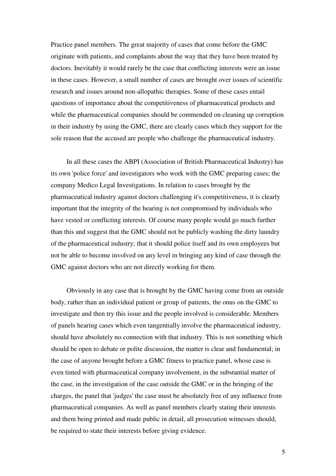Practice panel members. The great majority of cases that come before the GMC originate with patients, and complaints about the way that they have been treated by doctors. Inevitably it would rarely be the case that conflicting interests were an issue in these cases. However, a small number of cases are brought over issues of scientific research and issues around non-allopathic therapies. Some of these cases entail questions of importance about the competitiveness of pharmaceutical products and while the pharmaceutical companies should be commended on cleaning up corruption in their industry by using the GMC, there are clearly cases which they support for the sole reason that the accused are people who challenge the pharmaceutical industry.

 In all these cases the ABPI (Association of British Pharmaceutical Industry) has its own 'police force' and investigators who work with the GMC preparing cases; the company Medico Legal Investigations. In relation to cases brought by the pharmaceutical industry against doctors challenging it's competitiveness, it is clearly important that the integrity of the hearing is not compromised by individuals who have vested or conflicting interests. Of course many people would go much further than this and suggest that the GMC should not be publicly washing the dirty laundry of the pharmaceutical industry; that it should police itself and its own employees but not be able to become involved on any level in bringing any kind of case through the GMC against doctors who are not directly working for them.

 Obviously in any case that is brought by the GMC having come from an outside body, rather than an individual patient or group of patients, the onus on the GMC to investigate and then try this issue and the people involved is considerable. Members of panels hearing cases which even tangentially involve the pharmaceutical industry, should have absolutely no connection with that industry. This is not something which should be open to debate or polite discussion, the matter is clear and fundamental; in the case of anyone brought before a GMC fitness to practice panel, whose case is even tinted with pharmaceutical company involvement, in the substantial matter of the case, in the investigation of the case outside the GMC or in the bringing of the charges, the panel that 'judges' the case must be absolutely free of any influence from pharmaceutical companies. As well as panel members clearly stating their interests and them being printed and made public in detail, all prosecution witnesses should, be required to state their interests before giving evidence.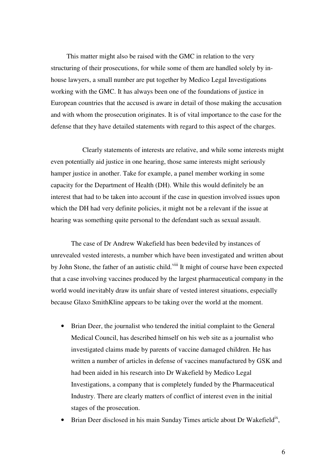This matter might also be raised with the GMC in relation to the very structuring of their prosecutions, for while some of them are handled solely by inhouse lawyers, a small number are put together by Medico Legal Investigations working with the GMC. It has always been one of the foundations of justice in European countries that the accused is aware in detail of those making the accusation and with whom the prosecution originates. It is of vital importance to the case for the defense that they have detailed statements with regard to this aspect of the charges.

 Clearly statements of interests are relative, and while some interests might even potentially aid justice in one hearing, those same interests might seriously hamper justice in another. Take for example, a panel member working in some capacity for the Department of Health (DH). While this would definitely be an interest that had to be taken into account if the case in question involved issues upon which the DH had very definite policies, it might not be a relevant if the issue at hearing was something quite personal to the defendant such as sexual assault.

 The case of Dr Andrew Wakefield has been bedeviled by instances of unrevealed vested interests, a number which have been investigated and written about by John Stone, the father of an autistic child.<sup>viii</sup> It might of course have been expected that a case involving vaccines produced by the largest pharmaceutical company in the world would inevitably draw its unfair share of vested interest situations, especially because Glaxo SmithKline appears to be taking over the world at the moment.

- Brian Deer, the journalist who tendered the initial complaint to the General Medical Council, has described himself on his web site as a journalist who investigated claims made by parents of vaccine damaged children. He has written a number of articles in defense of vaccines manufactured by GSK and had been aided in his research into Dr Wakefield by Medico Legal Investigations, a company that is completely funded by the Pharmaceutical Industry. There are clearly matters of conflict of interest even in the initial stages of the prosecution.
- Brian Deer disclosed in his main Sunday Times article about Dr Wakefield<sup>ix</sup>,

6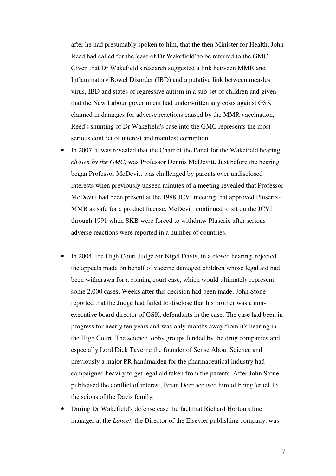after he had presumably spoken to him, that the then Minister for Health, John Reed had called for the 'case of Dr Wakefield' to be referred to the GMC. Given that Dr Wakefield's research suggested a link between MMR and Inflammatory Bowel Disorder (IBD) and a putative link between measles virus, IBD and states of regressive autism in a sub-set of children and given that the New Labour government had underwritten any costs against GSK claimed in damages for adverse reactions caused by the MMR vaccination, Reed's shunting of Dr Wakefield's case into the GMC represents the most serious conflict of interest and manifest corruption.

- In 2007, it was revealed that the Chair of the Panel for the Wakefield hearing, *chosen by the GMC,* was Professor Dennis McDevitt. Just before the hearing began Professor McDevitt was challenged by parents over undisclosed interests when previously unseen minutes of a meeting revealed that Professor McDevitt had been present at the 1988 JCVI meeting that approved Pluserix-MMR as safe for a product license. McDevitt continued to sit on the JCVI through 1991 when SKB were forced to withdraw Pluserix after serious adverse reactions were reported in a number of countries.
- In 2004, the High Court Judge Sir Nigel Davis, in a closed hearing, rejected the appeals made on behalf of vaccine damaged children whose legal aid had been withdrawn for a coming court case, which would ultimately represent some 2,000 cases. Weeks after this decision had been made, John Stone reported that the Judge had failed to disclose that his brother was a nonexecutive board director of GSK, defendants in the case. The case had been in progress for nearly ten years and was only months away from it's hearing in the High Court. The science lobby groups funded by the drug companies and especially Lord Dick Taverne the founder of Sense About Science and previously a major PR handmaiden for the pharmaceutical industry had campaigned heavily to get legal aid taken from the parents. After John Stone publicised the conflict of interest, Brian Deer accused him of being 'cruel' to the scions of the Davis family.
- During Dr Wakefield's defense case the fact that Richard Horton's line manager at the *Lancet*, the Director of the Elsevier publishing company, was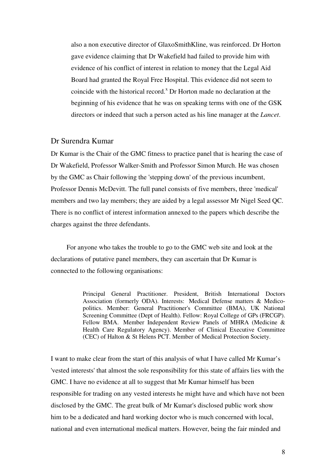also a non executive director of GlaxoSmithKline, was reinforced. Dr Horton gave evidence claiming that Dr Wakefield had failed to provide him with evidence of his conflict of interest in relation to money that the Legal Aid Board had granted the Royal Free Hospital. This evidence did not seem to coincide with the historical record.<sup> $x$ </sup> Dr Horton made no declaration at the beginning of his evidence that he was on speaking terms with one of the GSK directors or indeed that such a person acted as his line manager at the *Lancet*.

### Dr Surendra Kumar

Dr Kumar is the Chair of the GMC fitness to practice panel that is hearing the case of Dr Wakefield, Professor Walker-Smith and Professor Simon Murch. He was chosen by the GMC as Chair following the 'stepping down' of the previous incumbent, Professor Dennis McDevitt. The full panel consists of five members, three 'medical' members and two lay members; they are aided by a legal assessor Mr Nigel Seed QC. There is no conflict of interest information annexed to the papers which describe the charges against the three defendants.

 For anyone who takes the trouble to go to the GMC web site and look at the declarations of putative panel members, they can ascertain that Dr Kumar is connected to the following organisations:

> Principal General Practitioner. President, British International Doctors Association (formerly ODA). Interests: Medical Defense matters & Medicopolitics. Member: General Practitioner's Committee (BMA), UK National Screening Committee (Dept of Health). Fellow: Royal College of GPs (FRCGP). Fellow BMA. Member Independent Review Panels of MHRA (Medicine & Health Care Regulatory Agency). Member of Clinical Executive Committee (CEC) of Halton & St Helens PCT. Member of Medical Protection Society.

I want to make clear from the start of this analysis of what I have called Mr Kumar's 'vested interests' that almost the sole responsibility for this state of affairs lies with the GMC. I have no evidence at all to suggest that Mr Kumar himself has been responsible for trading on any vested interests he might have and which have not been disclosed by the GMC. The great bulk of Mr Kumar's disclosed public work show him to be a dedicated and hard working doctor who is much concerned with local, national and even international medical matters. However, being the fair minded and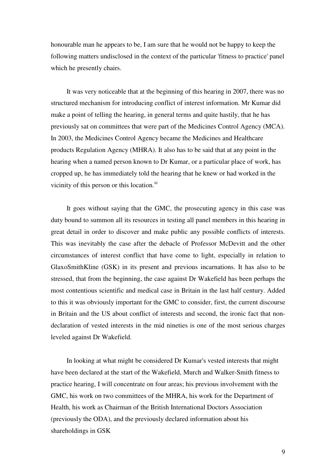honourable man he appears to be, I am sure that he would not be happy to keep the following matters undisclosed in the context of the particular 'fitness to practice' panel which he presently chairs.

 It was very noticeable that at the beginning of this hearing in 2007, there was no structured mechanism for introducing conflict of interest information. Mr Kumar did make a point of telling the hearing, in general terms and quite hastily, that he has previously sat on committees that were part of the Medicines Control Agency (MCA). In 2003, the Medicines Control Agency became the Medicines and Healthcare products Regulation Agency (MHRA). It also has to be said that at any point in the hearing when a named person known to Dr Kumar, or a particular place of work, has cropped up, he has immediately told the hearing that he knew or had worked in the vicinity of this person or this location.<sup>xi</sup>

 It goes without saying that the GMC, the prosecuting agency in this case was duty bound to summon all its resources in testing all panel members in this hearing in great detail in order to discover and make public any possible conflicts of interests. This was inevitably the case after the debacle of Professor McDevitt and the other circumstances of interest conflict that have come to light, especially in relation to GlaxoSmithKline (GSK) in its present and previous incarnations. It has also to be stressed, that from the beginning, the case against Dr Wakefield has been perhaps the most contentious scientific and medical case in Britain in the last half century. Added to this it was obviously important for the GMC to consider, first, the current discourse in Britain and the US about conflict of interests and second, the ironic fact that nondeclaration of vested interests in the mid nineties is one of the most serious charges leveled against Dr Wakefield.

 In looking at what might be considered Dr Kumar's vested interests that might have been declared at the start of the Wakefield, Murch and Walker-Smith fitness to practice hearing, I will concentrate on four areas; his previous involvement with the GMC, his work on two committees of the MHRA, his work for the Department of Health, his work as Chairman of the British International Doctors Association (previously the ODA), and the previously declared information about his shareholdings in GSK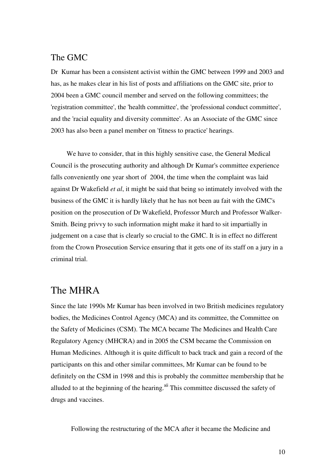# The GMC

Dr Kumar has been a consistent activist within the GMC between 1999 and 2003 and has, as he makes clear in his list of posts and affiliations on the GMC site, prior to 2004 been a GMC council member and served on the following committees; the 'registration committee', the 'health committee', the 'professional conduct committee', and the 'racial equality and diversity committee'. As an Associate of the GMC since 2003 has also been a panel member on 'fitness to practice' hearings.

 We have to consider, that in this highly sensitive case, the General Medical Council is the prosecuting authority and although Dr Kumar's committee experience falls conveniently one year short of 2004, the time when the complaint was laid against Dr Wakefield *et al*, it might be said that being so intimately involved with the business of the GMC it is hardly likely that he has not been au fait with the GMC's position on the prosecution of Dr Wakefield, Professor Murch and Professor Walker-Smith. Being privvy to such information might make it hard to sit impartially in judgement on a case that is clearly so crucial to the GMC. It is in effect no different from the Crown Prosecution Service ensuring that it gets one of its staff on a jury in a criminal trial.

# The MHRA

Since the late 1990s Mr Kumar has been involved in two British medicines regulatory bodies, the Medicines Control Agency (MCA) and its committee, the Committee on the Safety of Medicines (CSM). The MCA became The Medicines and Health Care Regulatory Agency (MHCRA) and in 2005 the CSM became the Commission on Human Medicines. Although it is quite difficult to back track and gain a record of the participants on this and other similar committees, Mr Kumar can be found to be definitely on the CSM in 1998 and this is probably the committee membership that he alluded to at the beginning of the hearing. $x^{i}$  This committee discussed the safety of drugs and vaccines.

Following the restructuring of the MCA after it became the Medicine and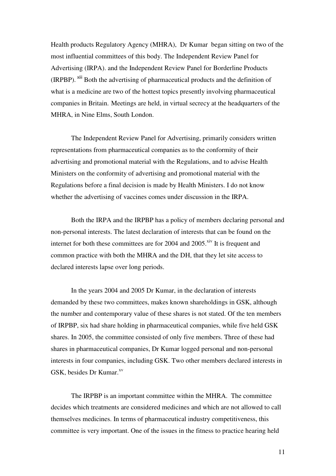Health products Regulatory Agency (MHRA), Dr Kumar began sitting on two of the most influential committees of this body. The Independent Review Panel for Advertising (IRPA). and the Independent Review Panel for Borderline Products (IRPBP). xiii Both the advertising of pharmaceutical products and the definition of what is a medicine are two of the hottest topics presently involving pharmaceutical companies in Britain. Meetings are held, in virtual secrecy at the headquarters of the MHRA, in Nine Elms, South London.

 The Independent Review Panel for Advertising, primarily considers written representations from pharmaceutical companies as to the conformity of their advertising and promotional material with the Regulations, and to advise Health Ministers on the conformity of advertising and promotional material with the Regulations before a final decision is made by Health Ministers. I do not know whether the advertising of vaccines comes under discussion in the IRPA.

 Both the IRPA and the IRPBP has a policy of members declaring personal and non-personal interests. The latest declaration of interests that can be found on the internet for both these committees are for 2004 and  $2005$ .<sup>xiv</sup> It is frequent and common practice with both the MHRA and the DH, that they let site access to declared interests lapse over long periods.

 In the years 2004 and 2005 Dr Kumar, in the declaration of interests demanded by these two committees, makes known shareholdings in GSK, although the number and contemporary value of these shares is not stated. Of the ten members of IRPBP, six had share holding in pharmaceutical companies, while five held GSK shares. In 2005, the committee consisted of only five members. Three of these had shares in pharmaceutical companies, Dr Kumar logged personal and non-personal interests in four companies, including GSK. Two other members declared interests in GSK, besides Dr Kumar.<sup>xv</sup>

 The IRPBP is an important committee within the MHRA. The committee decides which treatments are considered medicines and which are not allowed to call themselves medicines. In terms of pharmaceutical industry competitiveness, this committee is very important. One of the issues in the fitness to practice hearing held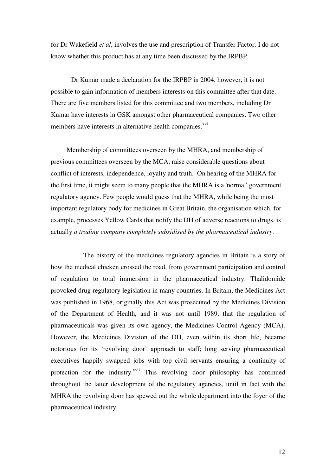for Dr Wakefield *et al*, involves the use and prescription of Transfer Factor. I do not know whether this product has at any time been discussed by the IRPBP.

 Dr Kumar made a declaration for the IRPBP in 2004, however, it is not possible to gain information of members interests on this committee after that date. There are five members listed for this committee and two members, including Dr Kumar have interests in GSK amongst other pharmaceutical companies. Two other members have interests in alternative health companies.<sup>xvi</sup>

 Membership of committees overseen by the MHRA, and membership of previous committees overseen by the MCA, raise considerable questions about conflict of interests, independence, loyalty and truth. On hearing of the MHRA for the first time, it might seem to many people that the MHRA is a 'normal' government regulatory agency. Few people would guess that the MHRA, while being the most important regulatory body for medicines in Great Britain, the organisation which, for example, processes Yellow Cards that notify the DH of adverse reactions to drugs, is actually *a trading company completely subsidised by the pharmaceutical industry*.

 The history of the medicines regulatory agencies in Britain is a story of how the medical chicken crossed the road, from government participation and control of regulation to total immersion in the pharmaceutical industry. Thalidomide provoked drug regulatory legislation in many countries. In Britain, the Medicines Act was published in 1968, originally this Act was prosecuted by the Medicines Division of the Department of Health, and it was not until 1989, that the regulation of pharmaceuticals was given its own agency, the Medicines Control Agency (MCA). However, the Medicines Division of the DH, even within its short life, became notorious for its 'revolving door' approach to staff; long serving pharmaceutical executives happily swapped jobs with top civil servants ensuring a continuity of protection for the industry.<sup>xvii</sup> This revolving door philosophy has continued throughout the latter development of the regulatory agencies, until in fact with the MHRA the revolving door has spewed out the whole department into the foyer of the pharmaceutical industry.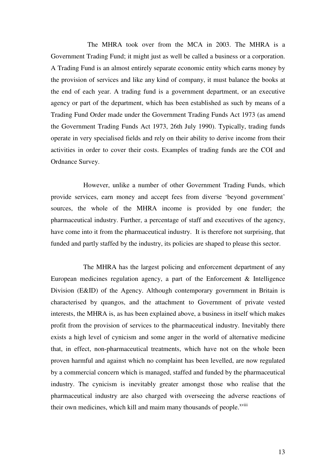The MHRA took over from the MCA in 2003. The MHRA is a Government Trading Fund; it might just as well be called a business or a corporation. A Trading Fund is an almost entirely separate economic entity which earns money by the provision of services and like any kind of company, it must balance the books at the end of each year. A trading fund is a government department, or an executive agency or part of the department, which has been established as such by means of a Trading Fund Order made under the Government Trading Funds Act 1973 (as amend the Government Trading Funds Act 1973, 26th July 1990). Typically, trading funds operate in very specialised fields and rely on their ability to derive income from their activities in order to cover their costs. Examples of trading funds are the COI and Ordnance Survey.

 However, unlike a number of other Government Trading Funds, which provide services, earn money and accept fees from diverse 'beyond government' sources, the whole of the MHRA income is provided by one funder; the pharmaceutical industry. Further, a percentage of staff and executives of the agency, have come into it from the pharmaceutical industry. It is therefore not surprising, that funded and partly staffed by the industry, its policies are shaped to please this sector.

 The MHRA has the largest policing and enforcement department of any European medicines regulation agency, a part of the Enforcement & Intelligence Division (E&ID) of the Agency. Although contemporary government in Britain is characterised by quangos, and the attachment to Government of private vested interests, the MHRA is, as has been explained above, a business in itself which makes profit from the provision of services to the pharmaceutical industry. Inevitably there exists a high level of cynicism and some anger in the world of alternative medicine that, in effect, non-pharmaceutical treatments, which have not on the whole been proven harmful and against which no complaint has been levelled, are now regulated by a commercial concern which is managed, staffed and funded by the pharmaceutical industry. The cynicism is inevitably greater amongst those who realise that the pharmaceutical industry are also charged with overseeing the adverse reactions of their own medicines, which kill and maim many thousands of people.<sup>xviii</sup>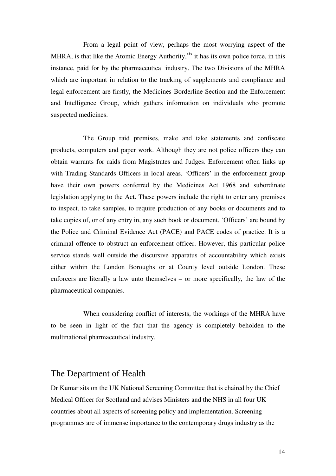From a legal point of view, perhaps the most worrying aspect of the MHRA, is that like the Atomic Energy Authority, $x^{ix}$  it has its own police force, in this instance, paid for by the pharmaceutical industry. The two Divisions of the MHRA which are important in relation to the tracking of supplements and compliance and legal enforcement are firstly, the Medicines Borderline Section and the Enforcement and Intelligence Group, which gathers information on individuals who promote suspected medicines.

 The Group raid premises, make and take statements and confiscate products, computers and paper work. Although they are not police officers they can obtain warrants for raids from Magistrates and Judges. Enforcement often links up with Trading Standards Officers in local areas. 'Officers' in the enforcement group have their own powers conferred by the Medicines Act 1968 and subordinate legislation applying to the Act. These powers include the right to enter any premises to inspect, to take samples, to require production of any books or documents and to take copies of, or of any entry in, any such book or document. 'Officers' are bound by the Police and Criminal Evidence Act (PACE) and PACE codes of practice. It is a criminal offence to obstruct an enforcement officer. However, this particular police service stands well outside the discursive apparatus of accountability which exists either within the London Boroughs or at County level outside London. These enforcers are literally a law unto themselves – or more specifically, the law of the pharmaceutical companies.

 When considering conflict of interests, the workings of the MHRA have to be seen in light of the fact that the agency is completely beholden to the multinational pharmaceutical industry.

## The Department of Health

Dr Kumar sits on the UK National Screening Committee that is chaired by the Chief Medical Officer for Scotland and advises Ministers and the NHS in all four UK countries about all aspects of screening policy and implementation. Screening programmes are of immense importance to the contemporary drugs industry as the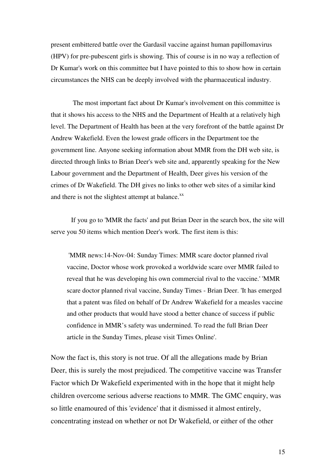present embittered battle over the Gardasil vaccine against human papillomavirus (HPV) for pre-pubescent girls is showing. This of course is in no way a reflection of Dr Kumar's work on this committee but I have pointed to this to show how in certain circumstances the NHS can be deeply involved with the pharmaceutical industry.

 The most important fact about Dr Kumar's involvement on this committee is that it shows his access to the NHS and the Department of Health at a relatively high level. The Department of Health has been at the very forefront of the battle against Dr Andrew Wakefield. Even the lowest grade officers in the Department toe the government line. Anyone seeking information about MMR from the DH web site, is directed through links to Brian Deer's web site and, apparently speaking for the New Labour government and the Department of Health, Deer gives his version of the crimes of Dr Wakefield. The DH gives no links to other web sites of a similar kind and there is not the slightest attempt at balance.<sup>xx</sup>

 If you go to 'MMR the facts' and put Brian Deer in the search box, the site will serve you 50 items which mention Deer's work. The first item is this:

 'MMR news:14-Nov-04: Sunday Times: MMR scare doctor planned rival vaccine, Doctor whose work provoked a worldwide scare over MMR failed to reveal that he was developing his own commercial rival to the vaccine.' 'MMR scare doctor planned rival vaccine, Sunday Times - Brian Deer. 'It has emerged that a patent was filed on behalf of Dr Andrew Wakefield for a measles vaccine and other products that would have stood a better chance of success if public confidence in MMR's safety was undermined. To read the full Brian Deer article in the Sunday Times, please visit Times Online'.

Now the fact is, this story is not true. Of all the allegations made by Brian Deer, this is surely the most prejudiced. The competitive vaccine was Transfer Factor which Dr Wakefield experimented with in the hope that it might help children overcome serious adverse reactions to MMR. The GMC enquiry, was so little enamoured of this 'evidence' that it dismissed it almost entirely, concentrating instead on whether or not Dr Wakefield, or either of the other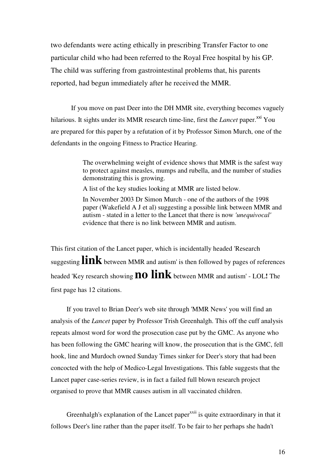two defendants were acting ethically in prescribing Transfer Factor to one particular child who had been referred to the Royal Free hospital by his GP. The child was suffering from gastrointestinal problems that, his parents reported, had begun immediately after he received the MMR.

 If you move on past Deer into the DH MMR site, everything becomes vaguely hilarious. It sights under its MMR research time-line, first the *Lancet* paper.<sup>xxi</sup> You are prepared for this paper by a refutation of it by Professor Simon Murch, one of the defendants in the ongoing Fitness to Practice Hearing.

> The overwhelming weight of evidence shows that MMR is the safest way to protect against measles, mumps and rubella, and the number of studies demonstrating this is growing.

A list of the key studies looking at MMR are listed below.

In November 2003 Dr Simon Murch - one of the authors of the 1998 paper (Wakefield A J et al) suggesting a possible link between MMR and autism - stated in a letter to the Lancet that there is now *'unequivocal'* evidence that there is no link between MMR and autism.

This first citation of the Lancet paper, which is incidentally headed 'Research suggesting  $\mathbf{link}$  between MMR and autism' is then followed by pages of references headed 'Key research showing**no link** between MMR and autism' - LOL**!** The first page has 12 citations.

 If you travel to Brian Deer's web site through 'MMR News' you will find an analysis of the *Lancet* paper by Professor Trish Greenhalgh. This off the cuff analysis repeats almost word for word the prosecution case put by the GMC. As anyone who has been following the GMC hearing will know, the prosecution that is the GMC, fell hook, line and Murdoch owned Sunday Times sinker for Deer's story that had been concocted with the help of Medico-Legal Investigations. This fable suggests that the Lancet paper case-series review, is in fact a failed full blown research project organised to prove that MMR causes autism in all vaccinated children.

Greenhalgh's explanation of the Lancet paper  $x$ <sup>xxii</sup> is quite extraordinary in that it follows Deer's line rather than the paper itself. To be fair to her perhaps she hadn't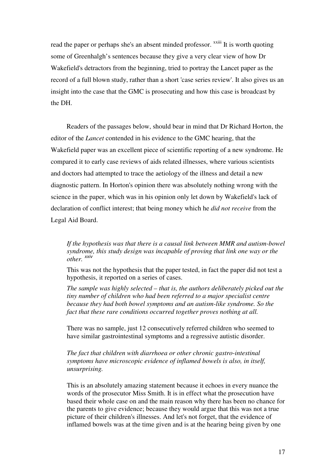read the paper or perhaps she's an absent minded professor. <sup>xxiii</sup> It is worth quoting some of Greenhalgh's sentences because they give a very clear view of how Dr Wakefield's detractors from the beginning, tried to portray the Lancet paper as the record of a full blown study, rather than a short 'case series review'. It also gives us an insight into the case that the GMC is prosecuting and how this case is broadcast by the DH.

 Readers of the passages below, should bear in mind that Dr Richard Horton, the editor of the *Lancet* contended in his evidence to the GMC hearing, that the Wakefield paper was an excellent piece of scientific reporting of a new syndrome. He compared it to early case reviews of aids related illnesses, where various scientists and doctors had attempted to trace the aetiology of the illness and detail a new diagnostic pattern. In Horton's opinion there was absolutely nothing wrong with the science in the paper, which was in his opinion only let down by Wakefield's lack of declaration of conflict interest; that being money which he *did not receive* from the Legal Aid Board.

*If the hypothesis was that there is a causal link between MMR and autism-bowel syndrome, this study design was incapable of proving that link one way or the other.* xxiv

This was not the hypothesis that the paper tested, in fact the paper did not test a hypothesis, it reported on a series of cases.

*The sample was highly selected – that is, the authors deliberately picked out the tiny number of children who had been referred to a major specialist centre because they had both bowel symptoms and an autism-like syndrome. So the fact that these rare conditions occurred together proves nothing at all.* 

There was no sample, just 12 consecutively referred children who seemed to have similar gastrointestinal symptoms and a regressive autistic disorder.

*The fact that children with diarrhoea or other chronic gastro-intestinal symptoms have microscopic evidence of inflamed bowels is also, in itself, unsurprising.* 

This is an absolutely amazing statement because it echoes in every nuance the words of the prosecutor Miss Smith. It is in effect what the prosecution have based their whole case on and the main reason why there has been no chance for the parents to give evidence; because they would argue that this was not a true picture of their children's illnesses. And let's not forget, that the evidence of inflamed bowels was at the time given and is at the hearing being given by one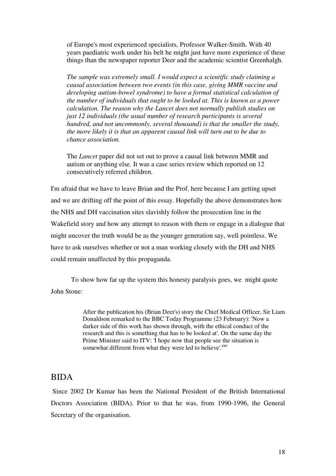of Europe's most experienced specialists, Professor Walker-Smith. With 40 years paediatric work under his belt he might just have more experience of these things than the newspaper reporter Deer and the academic scientist Greenhalgh.

*The sample was extremely small. I would expect a scientific study claiming a causal association between two events (in this case, giving MMR vaccine and developing autism-bowel syndrome) to have a formal statistical calculation of the number of individuals that ought to be looked at. This is known as a power calculation. The reason why the Lancet does not normally publish studies on just 12 individuals (the usual number of research participants is several hundred, and not uncommonly, several thousand) is that the smaller the study, the more likely it is that an apparent causal link will turn out to be due to chance association.* 

The *Lancet* paper did not set out to prove a causal link between MMR and autism or anything else. It was a case series review which reported on 12 consecutively referred children.

I'm afraid that we have to leave Brian and the Prof. here because I am getting upset and we are drifting off the point of this essay. Hopefully the above demonstrates how the NHS and DH vaccination sites slavishly follow the prosecution line in the Wakefield story and how any attempt to reason with them or engage in a dialogue that might uncover the truth would be as the younger generation say, well pointless. We have to ask ourselves whether or not a man working closely with the DH and NHS could remain unaffected by this propaganda.

 To show how far up the system this honesty paralysis goes, we might quote John Stone:

> After the publication his (Brian Deer's) story the Chief Medical Officer, Sir Liam Donaldson remarked to the BBC Today Programme (23 February): 'Now a darker side of this work has shown through, with the ethical conduct of the research and this is something that has to be looked at'. On the same day the Prime Minister said to ITV: 'I hope now that people see the situation is somewhat different from what they were led to believe'. XXV

### BIDA

 Since 2002 Dr Kumar has been the National President of the British International Doctors Association (BIDA). Prior to that he was, from 1990-1996, the General Secretary of the organisation.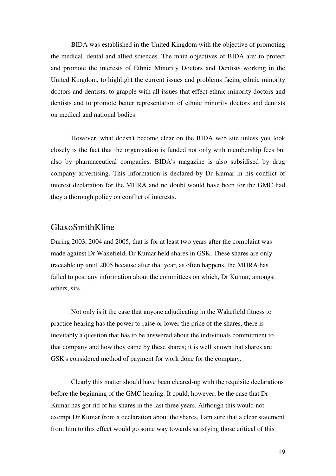BIDA was established in the United Kingdom with the objective of promoting the medical, dental and allied sciences. The main objectives of BIDA are: to protect and promote the interests of Ethnic Minority Doctors and Dentists working in the United Kingdom, to highlight the current issues and problems facing ethnic minority doctors and dentists, to grapple with all issues that effect ethnic minority doctors and dentists and to promote better representation of ethnic minority doctors and dentists on medical and national bodies.

 However, what doesn't become clear on the BIDA web site unless you look closely is the fact that the organisation is funded not only with membership fees but also by pharmaceutical companies. BIDA's magazine is also subsidised by drug company advertising. This information is declared by Dr Kumar in his conflict of interest declaration for the MHRA and no doubt would have been for the GMC had they a thorough policy on conflict of interests.

## GlaxoSmithKline

During 2003, 2004 and 2005, that is for at least two years after the complaint was made against Dr Wakefield, Dr Kumar held shares in GSK. These shares are only traceable up until 2005 because after that year, as often happens, the MHRA has failed to post any information about the committees on which, Dr Kumar, amongst others, sits.

 Not only is it the case that anyone adjudicating in the Wakefield fitness to practice hearing has the power to raise or lower the price of the shares, there is inevitably a question that has to be answered about the individuals commitment to that company and how they came by these shares; it is well known that shares are GSK's considered method of payment for work done for the company.

 Clearly this matter should have been cleared-up with the requisite declarations before the beginning of the GMC hearing. It could, however, be the case that Dr Kumar has got rid of his shares in the last three years. Although this would not exempt Dr Kumar from a declaration about the shares, I am sure that a clear statement from him to this effect would go some way towards satisfying those critical of this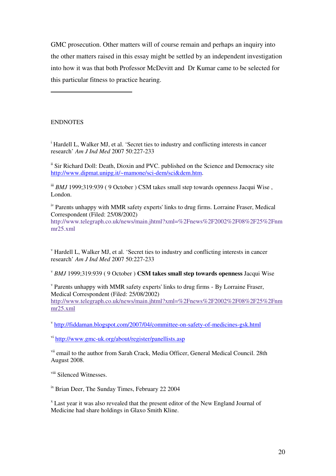GMC prosecution. Other matters will of course remain and perhaps an inquiry into the other matters raised in this essay might be settled by an independent investigation into how it was that both Professor McDevitt and Dr Kumar came to be selected for this particular fitness to practice hearing.

**ENDNOTES** 

 $\overline{a}$ 

<sup>i</sup> Hardell L, Walker MJ, et al. 'Secret ties to industry and conflicting interests in cancer research' *Am J Ind Med* 2007 50:227-233

<sup>ii</sup> Sir Richard Doll: Death, Dioxin and PVC. published on the Science and Democracy site http://www.dipmat.unipg.it/~mamone/sci-dem/sci&dem.htm.

<sup>iii</sup> *BMJ* 1999;319:939 (9 October) CSM takes small step towards openness Jacqui Wise, London.

<sup>iv</sup> Parents unhappy with MMR safety experts' links to drug firms. Lorraine Fraser, Medical Correspondent (Filed: 25/08/2002)

http://www.telegraph.co.uk/news/main.jhtml?xml=%2Fnews%2F2002%2F08%2F25%2Fnm mr25.xml

v Hardell L, Walker MJ, et al. 'Secret ties to industry and conflicting interests in cancer research' *Am J Ind Med* 2007 50:227-233

<sup>v</sup> *BMJ* 1999;319:939 ( 9 October ) **CSM takes small step towards openness** Jacqui Wise

v Parents unhappy with MMR safety experts' links to drug firms - By Lorraine Fraser, Medical Correspondent (Filed: 25/08/2002) http://www.telegraph.co.uk/news/main.jhtml?xml=%2Fnews%2F2002%2F08%2F25%2Fnm mr25.xml

v http://fiddaman.blogspot.com/2007/04/committee-on-safety-of-medicines-gsk.html

vi http://www.gmc-uk.org/about/register/panellists.asp

<sup>vii</sup> email to the author from Sarah Crack, Media Officer, General Medical Council. 28th August 2008.

viii Silenced Witnesses.

<sup>ix</sup> Brian Deer, The Sunday Times, February 22 2004

<sup>x</sup> Last year it was also revealed that the present editor of the New England Journal of Medicine had share holdings in Glaxo Smith Kline.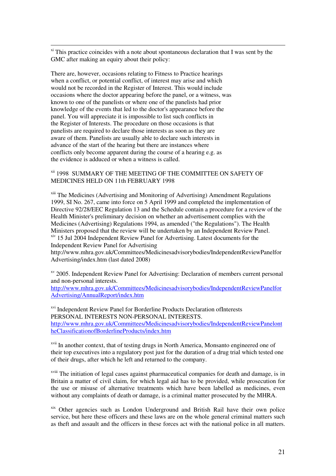$\frac{x_i}{x_i}$  This practice coincides with a note about spontaneous declaration that I was sent by the GMC after making an equiry about their policy:

There are, however, occasions relating to Fitness to Practice hearings when a conflict, or potential conflict, of interest may arise and which would not be recorded in the Register of Interest. This would include occasions where the doctor appearing before the panel, or a witness, was known to one of the panelists or where one of the panelists had prior knowledge of the events that led to the doctor's appearance before the panel. You will appreciate it is impossible to list such conflicts in the Register of Interests. The procedure on those occasions is that panelists are required to declare those interests as soon as they are aware of them. Panelists are usually able to declare such interests in advance of the start of the hearing but there are instances where conflicts only become apparent during the course of a hearing e.g. as the evidence is adduced or when a witness is called.

 $\overline{a}$ 

### $^{\rm xii}$ 1998 SUMMARY OF THE MEETING OF THE COMMITTEE ON SAFETY OF MEDICINES HELD ON 11th FEBRUARY 1998

xiii The Medicines (Advertising and Monitoring of Advertising) Amendment Regulations 1999, SI No. 267, came into force on 5 April 1999 and completed the implementation of Directive 92/28/EEC Regulation 13 and the Schedule contain a procedure for a review of the Health Minister's preliminary decision on whether an advertisement complies with the Medicines (Advertising) Regulations 1994, as amended ("the Regulations"). The Health Ministers proposed that the review will be undertaken by an Independent Review Panel. xiv 15 Jul 2004 Independent Review Panel for Advertising. Latest documents for the Independent Review Panel for Advertising

http://www.mhra.gov.uk/Committees/Medicinesadvisorybodies/IndependentReviewPanelfor Advertising/index.htm (last dated 2008)

<sup>xv</sup> 2005. Independent Review Panel for Advertising: Declaration of members current personal and non-personal interests.

http://www.mhra.gov.uk/Committees/Medicinesadvisorybodies/IndependentReviewPanelfor Advertising/AnnualReport/index.htm

xvi Independent Review Panel for Borderline Products Declaration ofInterests PERSONAL INTERESTS NON-PERSONAL INTERESTS. http://www.mhra.gov.uk/Committees/Medicinesadvisorybodies/IndependentReviewPanelont heClassificationofBorderlineProducts/index.htm

<sup>xvii</sup> In another context, that of testing drugs in North America, Monsanto engineered one of their top executives into a regulatory post just for the duration of a drug trial which tested one of their drugs, after which he left and returned to the company.

<sup>xviii</sup> The initiation of legal cases against pharmaceutical companies for death and damage, is in Britain a matter of civil claim, for which legal aid has to be provided, while prosecution for the use or misuse of alternative treatments which have been labelled as medicines, even without any complaints of death or damage, is a criminal matter prosecuted by the MHRA.

xix Other agencies such as London Underground and British Rail have their own police service, but here these officers and these laws are on the whole general criminal matters such as theft and assault and the officers in these forces act with the national police in all matters.